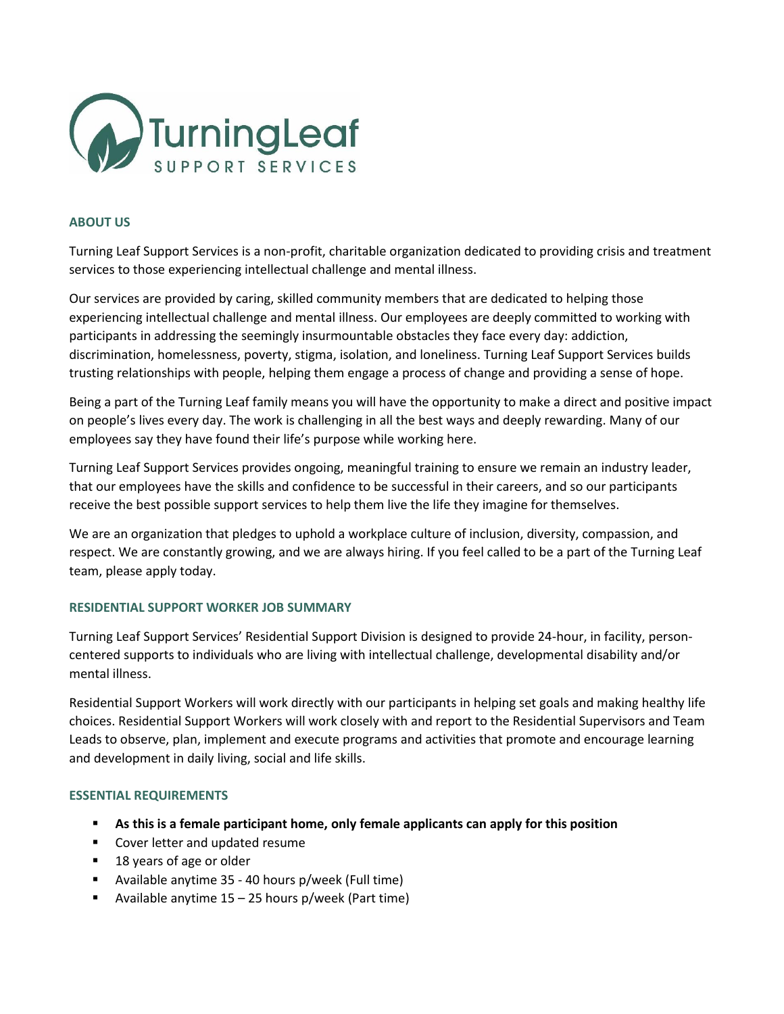

## **ABOUT US**

Turning Leaf Support Services is a non-profit, charitable organization dedicated to providing crisis and treatment services to those experiencing intellectual challenge and mental illness.

Our services are provided by caring, skilled community members that are dedicated to helping those experiencing intellectual challenge and mental illness. Our employees are deeply committed to working with participants in addressing the seemingly insurmountable obstacles they face every day: addiction, discrimination, homelessness, poverty, stigma, isolation, and loneliness. Turning Leaf Support Services builds trusting relationships with people, helping them engage a process of change and providing a sense of hope.

Being a part of the Turning Leaf family means you will have the opportunity to make a direct and positive impact on people's lives every day. The work is challenging in all the best ways and deeply rewarding. Many of our employees say they have found their life's purpose while working here.

Turning Leaf Support Services provides ongoing, meaningful training to ensure we remain an industry leader, that our employees have the skills and confidence to be successful in their careers, and so our participants receive the best possible support services to help them live the life they imagine for themselves.

We are an organization that pledges to uphold a workplace culture of inclusion, diversity, compassion, and respect. We are constantly growing, and we are always hiring. If you feel called to be a part of the Turning Leaf team, please apply today.

## **RESIDENTIAL SUPPORT WORKER JOB SUMMARY**

Turning Leaf Support Services' Residential Support Division is designed to provide 24-hour, in facility, personcentered supports to individuals who are living with intellectual challenge, developmental disability and/or mental illness.

Residential Support Workers will work directly with our participants in helping set goals and making healthy life choices. Residential Support Workers will work closely with and report to the Residential Supervisors and Team Leads to observe, plan, implement and execute programs and activities that promote and encourage learning and development in daily living, social and life skills.

## **ESSENTIAL REQUIREMENTS**

- **As this is a female participant home, only female applicants can apply for this position**
- Cover letter and updated resume
- 18 years of age or older
- Available anytime 35 40 hours p/week (Full time)
- **E** Available anytime  $15 25$  hours p/week (Part time)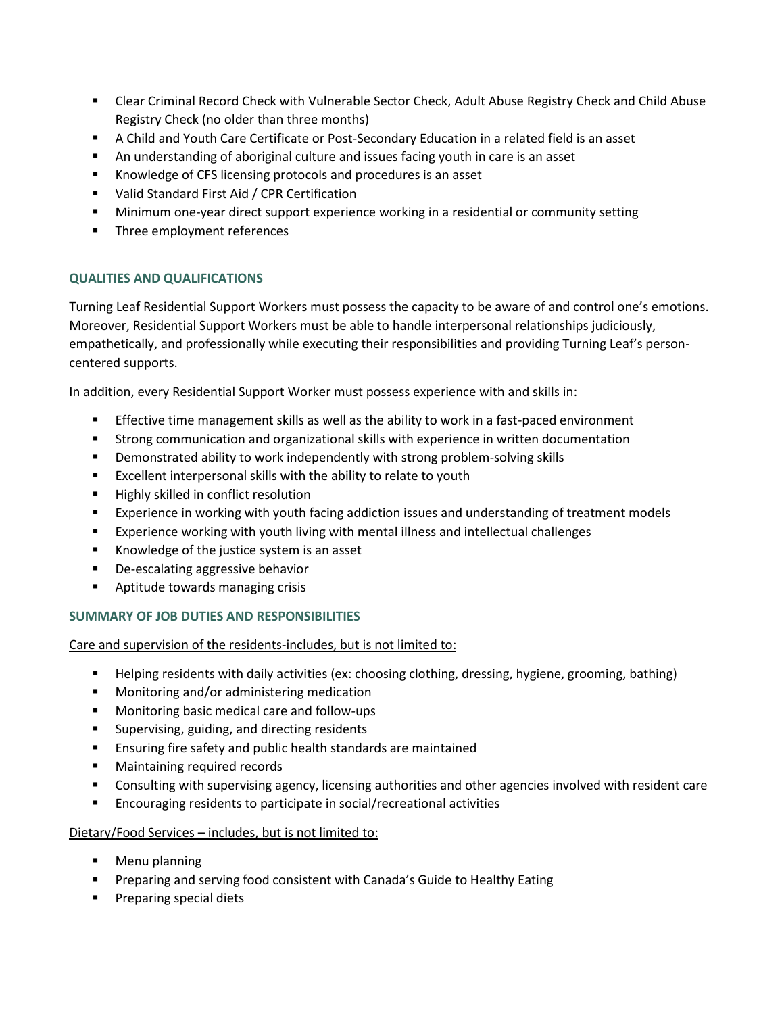- **EXECT Clear Criminal Record Check with Vulnerable Sector Check, Adult Abuse Registry Check and Child Abuse** Registry Check (no older than three months)
- A Child and Youth Care Certificate or Post-Secondary Education in a related field is an asset
- An understanding of aboriginal culture and issues facing youth in care is an asset
- Knowledge of CFS licensing protocols and procedures is an asset
- Valid Standard First Aid / CPR Certification
- **■** Minimum one-year direct support experience working in a residential or community setting
- **■** Three employment references

# **QUALITIES AND QUALIFICATIONS**

Turning Leaf Residential Support Workers must possess the capacity to be aware of and control one's emotions. Moreover, Residential Support Workers must be able to handle interpersonal relationships judiciously, empathetically, and professionally while executing their responsibilities and providing Turning Leaf's personcentered supports.

In addition, every Residential Support Worker must possess experience with and skills in:

- **Effective time management skills as well as the ability to work in a fast-paced environment**
- **■** Strong communication and organizational skills with experience in written documentation
- Demonstrated ability to work independently with strong problem-solving skills
- Excellent interpersonal skills with the ability to relate to youth
- Highly skilled in conflict resolution
- Experience in working with youth facing addiction issues and understanding of treatment models
- Experience working with youth living with mental illness and intellectual challenges
- Knowledge of the justice system is an asset
- De-escalating aggressive behavior
- Aptitude towards managing crisis

# **SUMMARY OF JOB DUTIES AND RESPONSIBILITIES**

Care and supervision of the residents-includes, but is not limited to:

- Helping residents with daily activities (ex: choosing clothing, dressing, hygiene, grooming, bathing)
- Monitoring and/or administering medication
- Monitoring basic medical care and follow-ups
- Supervising, guiding, and directing residents
- Ensuring fire safety and public health standards are maintained
- Maintaining required records
- Consulting with supervising agency, licensing authorities and other agencies involved with resident care
- Encouraging residents to participate in social/recreational activities

## Dietary/Food Services – includes, but is not limited to:

- Menu planning
- **•** Preparing and serving food consistent with Canada's Guide to Healthy Eating
- Preparing special diets